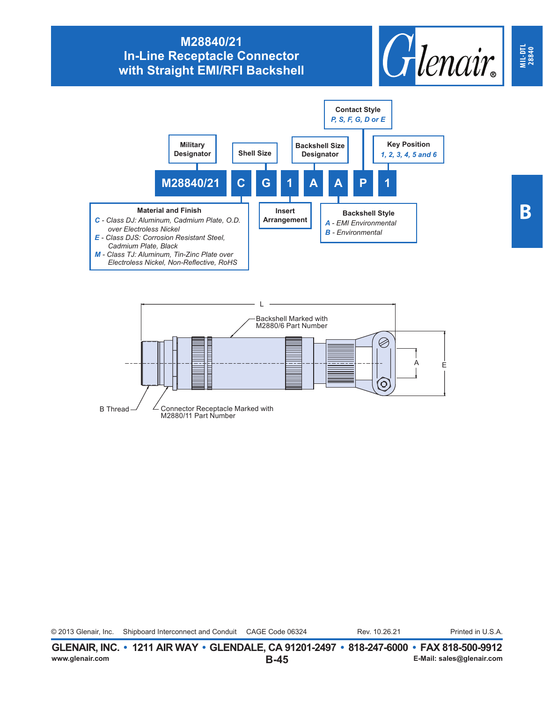## **M28840/21 In-Line Receptacle Connector with Straight EMI/RFI Backshell**







© 2013 Glenair, Inc. Shipboard Interconnect and Conduit CAGE Code 06324 Rev. 10.26.21 Printed in U.S.A. Rev. 10.26.21